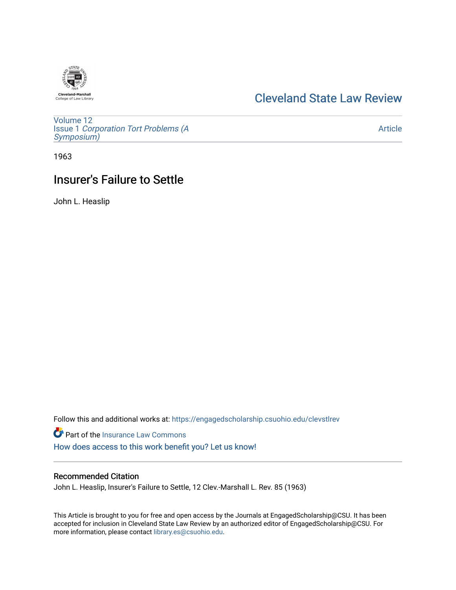# **Cleveland-Marshall**<br>College of Law Librar

# [Cleveland State Law Review](https://engagedscholarship.csuohio.edu/clevstlrev)

[Volume 12](https://engagedscholarship.csuohio.edu/clevstlrev/vol12) Issue 1 [Corporation Tort Problems \(A](https://engagedscholarship.csuohio.edu/clevstlrev/vol12/iss1) [Symposium\)](https://engagedscholarship.csuohio.edu/clevstlrev/vol12/iss1) 

[Article](https://engagedscholarship.csuohio.edu/clevstlrev/vol12/iss1/9) 

1963

# Insurer's Failure to Settle

John L. Heaslip

Follow this and additional works at: [https://engagedscholarship.csuohio.edu/clevstlrev](https://engagedscholarship.csuohio.edu/clevstlrev?utm_source=engagedscholarship.csuohio.edu%2Fclevstlrev%2Fvol12%2Fiss1%2F9&utm_medium=PDF&utm_campaign=PDFCoverPages)

Part of the [Insurance Law Commons](http://network.bepress.com/hgg/discipline/607?utm_source=engagedscholarship.csuohio.edu%2Fclevstlrev%2Fvol12%2Fiss1%2F9&utm_medium=PDF&utm_campaign=PDFCoverPages) [How does access to this work benefit you? Let us know!](http://library.csuohio.edu/engaged/)

## Recommended Citation

John L. Heaslip, Insurer's Failure to Settle, 12 Clev.-Marshall L. Rev. 85 (1963)

This Article is brought to you for free and open access by the Journals at EngagedScholarship@CSU. It has been accepted for inclusion in Cleveland State Law Review by an authorized editor of EngagedScholarship@CSU. For more information, please contact [library.es@csuohio.edu](mailto:library.es@csuohio.edu).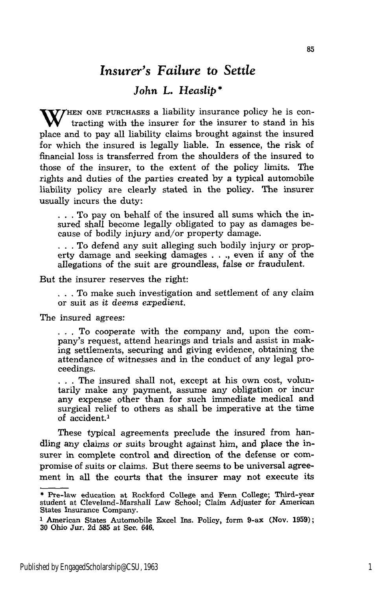## *Insurer's Failure* to *Settle*

### *John L. Heaslip* **\***

W<sup>HEN</sup> ONE PURCHASES a liability insurance policy he is contracting with the insurer for the insurer to stand in his place and to pay all liability claims brought against the insured for which the insured is legally liable. In essence, the risk of financial loss is transferred from the shoulders of the insured to those of the insurer, to the extent of the policy limits. The rights and duties of the parties created by a typical automobile liability policy are clearly stated in the policy. The insurer usually incurs the duty:

**.** . . To pay on behalf of the insured all sums which the insured shall become legally obligated to pay as damages because of bodily injury and/or property damage.

**.** . . To defend any suit alleging such bodily injury or property damage and seeking damages . **. .,** even if any of the allegations of the suit are groundless, false or fraudulent.

But the insurer reserves the right:

**.. .**To make such investigation and settlement of any claim or suit as *it deems expedient.*

The insured agrees:

• . . To cooperate with the company and, upon the company's request, attend hearings and trials and assist in making settlements, securing and giving evidence, obtaining the attendance of witnesses and in the conduct of any legal proceedings.

... The insured shall not, except at his own cost, voluntarily make any payment, assume any obligation or incur any expense other than for such immediate medical and surgical relief to others as shall be imperative at the time of accident.<sup>1</sup>

These typical agreements preclude the insured from handling any claims or suits brought against him, and place the insurer in complete control and direction of the defense or compromise of suits or claims. But there seems to be universal agreement in all the courts that the insurer may not execute its

**<sup>\*</sup>** Pre-law education at Rockford College and Fenn College; Third-year student at Cleveland-Marshall Law School; Claim Adjuster for American States Insurance Company.

**<sup>1</sup>** American States Automobile Excel Ins. Policy, form 9-ax (Nov. 1959); 30 Ohio Jur. 2d **585** at Sec. 646.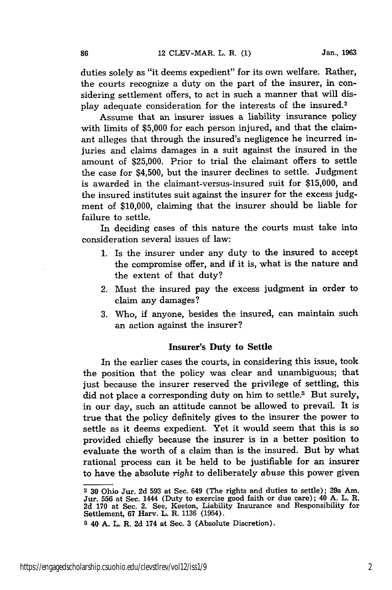duties solely as "it deems expedient" for its own welfare. Rather, the courts recognize a duty on the part of the insurer, in considering settlement offers, to act in such a manner that will display adequate consideration for the interests of the insured.2

Assume that an insurer issues a liability insurance policy with limits of \$5,000 for each person injured, and that the claimant alleges that through the insured's negligence he incurred injuries and claims damages in a suit against the insured in the amount of \$25,000. Prior to trial the claimant offers to settle the case for \$4,500, but the insurer declines to settle. Judgment is awarded in the claimant-versus-insured suit for \$15,000, and the insured institutes suit against the insurer for the excess judgment of \$10,000, claiming that the insurer should be liable for failure to settle.

In deciding cases of this nature the courts must take into consideration several issues of law:

- 1. Is the insurer under any duty to the insured to accept the compromise offer, and if it is, what is the nature and the extent of that duty?
- 2. Must the insured pay the excess judgment in order to claim any damages?
- 3. Who, if anyone, besides the insured, can maintain such an action against the insurer?

#### Insurer's Duty to Settle

In the earlier cases the courts, in considering this issue, took the position that the policy was clear and unambiguous; that just because the insurer reserved the privilege of settling, this did not place a corresponding duty on him to settle.<sup>3</sup> But surely, in our day, such an attitude cannot be allowed to prevail. It is true that the policy definitely gives to the insurer the power to settle as it deems expedient. Yet it would seem that this is so provided chiefly because the insurer is in a better position to evaluate the worth of a claim than is the insured. But by what rational process can it be held to be justifiable for an insurer to have the absolute *right* to deliberately *abuse* this power given

86

 $\overline{2}$  30 Ohio Jur. 2d 593 at Sec. 649 (The rights and duties to settle); 29a Am. Jur. 556 at Sec. 1444 (Duty to exercise good faith or due care); 40 A. L. R. 2d 170 at Sec. 2. See, Keeton, Liability Insurance and Responsibility for Settlement, 67 Harv. L. R. 1136 (1954).

**<sup>3</sup>** 40 A. L. R. 2d 174 at Sec. 3 (Absolute Discretion).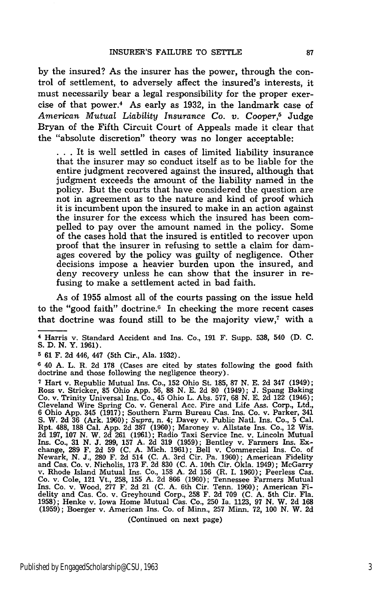**by** the insured? As the insurer has the power, through the control of settlement, to adversely affect the insured's interests, it must necessarily bear a legal responsibility for the proper exercise of that power.4 As early as **1932,** in the landmark case of *American Mutual Liability Insurance Co. v. Cooper, <sup>5</sup>*Judge Bryan of the Fifth Circuit Court of Appeals made it clear that the "absolute discretion" theory was no longer acceptable:

**• . .** It is well settled in cases of limited liability insurance that the insurer may so conduct itself as to be liable for the entire judgment recovered against the insured, although that judgment exceeds the amount of the liability named in the policy. But the courts that have considered the question are not in agreement as to the nature and kind of proof which it is incumbent upon the insured to make in an action against the insurer for the excess which the insured has been compelled to pay over the amount named in the policy. Some of the cases hold that the insured is entitled to recover upon proof that the insurer in refusing to settle a claim for damages covered **by** the policy was guilty of negligence. Other decisions impose a heavier burden upon the insured, and deny recovery unless he can show that the insurer in refusing to make a settlement acted in bad faith.

As of **1955** almost all of the courts passing on the issue held to the "good faith" doctrine.<sup>6</sup> In checking the more recent cases that doctrine was found still to be the majority view,<sup>7</sup> with a

**5 61** F. **2d** 446, 447 (5th Cir., Ala. **1932).**

**6** 40 **A.** L. R. **2d 178** (Cases are cited **by** states following the good faith doctrine and those following the negligence theory).

**7** Hart v. Republic Mutual Ins. Co., **152** Ohio St. **185, 87 N. E. 2d** 347 (1949); Ross v. Stricker, **85** Ohio **App. 56, 88 N. E. 2d 80** (1949); **J.** Spang Baking Co. v. Trinity Universal Ins. Co., 45 Ohio L. Abs. **577, 68 N. E. 2d** 122 (1946); Cleveland Wire Spring Co. v. General Acc. Fire and Life Ass. Corp., Ltd., **6** Ohio **App.** 345 **(1917);** Southern Farm Bureau Cas. Ins. Co. v. Parker, 341 **S.** W. **2d 36** (Ark. **1960);** *Supra,* n. 4; Davey v. Public Natl. Ins. Co., **5** Cal. Rpt. **488, 188** Cal. **App. 2d 387 (1960);** Maroney v. Allstate Ins. Co., 12 Wis. **2d 197, 107 N.** W. **2d 261 (1961);** Radio Taxi Service Inc. v. Lincoln Mutual Ins. Co., **31 N. J. 299, 157 A. 2d 319 (1959);** Bentley v. Farmers Ins. Exchange, **289** F. **2d 59 (C. A.** Mich. **1961);** Bell v. Commercial Ins. Co. of Newark, N. J., 280 F. 2d 514 (C. A. 3rd Cir. Pa. 1960); American Fidelity<br>and Cas. Co. v. Nicholis, 173 F. 2d 830 (C. A. 10th Cir. Okla. 1949); McGarry<br>v. Rhode Island Mutual Ins. Co., 158 A. 2d 156 (R. I. 1960); Peerless Co. v. Cole, 121 Vt., **258, 155 A. 2d 866 (1960);** Tennessee Farmers Mutual **Ins.** Co. v. Wood, **277** F. **2d** 21 **(C. A.** 6th Cir. Tenn. **1960);** American Fi-delity and Cas. Co. v. Greyhound Corp., **258** F. **2d 709 (C. A.** 5th Cir. Fla. **1958);** Henke v. Iowa Home Mutual Cas. Co., **250** Ia. **1123, 97 N.** W. **2d 168 (1959);** Boerger v. American Ins. Co. of Minn., **257** Minn. **72, 100 N.** W. **2d**

(Continued on next page)

**<sup>4</sup>** Harris v. Standard Accident and Ins. Co., **191** F. Supp. **538,** 540 **(D. C. S. D. N.** Y. **1961).**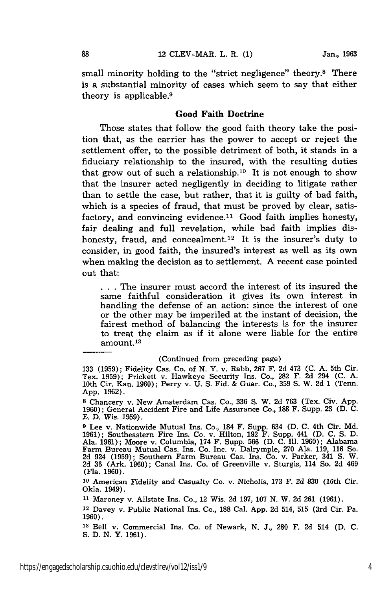small minority holding to the "strict negligence" theory.8 There is a substantial minority of cases which seem to say that either theory is applicable.<sup>9</sup>

#### Good Faith Doctrine

Those states that follow the good faith theory take the position that, as the carrier has the power to accept or reject the settlement offer, to the possible detriment of both, it stands in a fiduciary relationship to the insured, with the resulting duties that grow out of such a relationship.<sup>10</sup> It is not enough to show that the insurer acted negligently in deciding to litigate rather than to settle the case, but rather, that it is guilty of bad faith, which is a species of fraud, that must be proved by clear, satisfactory, and convincing evidence.<sup>11</sup> Good faith implies honesty, fair dealing and full revelation, while bad faith implies dishonesty, fraud, and concealment.<sup>12</sup> It is the insurer's duty to consider, in good faith, the insured's interest as well as its own when making the decision as to settlement. A recent case pointed out that:

**. . .** The insurer must accord the interest of its insured the same faithful consideration it gives its own interest in handling the defense of an action: since the interest of one or the other may be imperiled at the instant of decision, the fairest method of balancing the interests is for the insurer to treat the claim as if it alone were liable for the entire amount.13

#### (Continued from preceding page)

**9** Lee v. Nationwide Mutual Ins. Co., 184 F. Supp. 634 **(D.** C. 4th Cir. Md. 1961); Southeastern Fire Ins. Co. v. Hilton, 192 F. Supp. 441 (D. C. S. D. Ala. 1961); Moore v. Columbia, 174 F. Supp. 566 (D. C. Ill. 1960); Alabama Farm Bureau Mutual Cas. Ins. Co. Inc. v. Dalrymple, 270 Ala. 119, 116 So. 2d 924 (1959); Southern Farm Bureau Cas. Ins. Co. v. Parker, 341 **S.** W. 2d 36 (Ark. 1960); Canal Ins. Co. of Greenville v. Sturgis, 114 So. 2d 469 (Fla. 1960).

**<sup>10</sup>**American Fidelity and Casualty Co. v. Nicholis, 173 F. 2d **830** (10th Cir. Okla. 1949).

**<sup>11</sup>**Maroney v. Allstate Ins. Co., 12 Wis. 2d 197, 107 N. W. 2d 261 (1961).

12 Davey v. Public National Ins. Co., **188** Cal. App. 2d 514, 515 (3rd Cir. Pa. 1960).

**<sup>13</sup>**Bell v. Commercial Ins. Co. of Newark, **N.** J., **280** F. **2d** 514 (D. **C. S. D. N.** Y. **1961).**

<sup>133 (1959);</sup> Fidelity Cas. Co. of N. Y. v. Rabb, 267 F. 2d 473 (C. A. 5th Cir. Tex. 1959); Prickett v. Hawkeye Security Ins. Co., 282 F. 2d 294 (C. A. 10th Cir. Kan. 1960); Perry v. U. S. Fid. & Guar. Co., 359 **S.** W. 2d 1 (Tenn. App. 1962).

**<sup>8</sup>**Chancery v. New Amsterdam Cas. Co., 336 S. W. 2d 763 (Tex. Civ. App. 1960); General Accident Fire and Life Assurance Co., **188** F. Supp. 23 (D. C. E. D. Wis. 1959).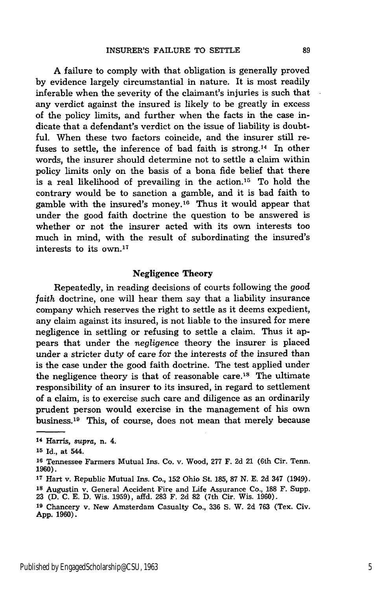A failure to comply with that obligation is generally proved **by** evidence largely circumstantial in nature. It is most readily inferable when the severity of the claimant's injuries is such that any verdict against the insured is likely to be greatly in excess of the policy limits, and further when the facts in the case indicate that a defendant's verdict on the issue of liability is doubtful. When these two factors coincide, and the insurer still refuses to settle, the inference of bad faith is strong.<sup>14</sup> In other words, the insurer should determine not to settle a claim within policy limits only on the basis of a bona fide belief that there is a real likelihood of prevailing in the action. 15 To hold the contrary would be to sanction a gamble, and it is bad faith to gamble with the insured's money.<sup>16</sup> Thus it would appear that under the good faith doctrine the question to be answered is whether or not the insurer acted with its own interests too much in mind, with the result of subordinating the insured's interests to its own. <sup>17</sup>

#### Negligence Theory

Repeatedly, in reading decisions of courts following the *good faith* doctrine, one will hear them say that a liability insurance company which reserves the right to settle as it deems expedient, any claim against its insured, is not liable to the insured for mere negligence in settling or refusing to settle a claim. Thus it appears that under the *negligence* theory the insurer is placed under a stricter duty of care for the interests of the insured than is the case under the good faith doctrine. The test applied under the negligence theory is that of reasonable care.<sup>18</sup> The ultimate responsibility of an insurer to its insured, in regard to settlement of a claim, is to exercise such care and diligence as an ordinarily prudent person would exercise in the management of his own business. 19 This, of course, does not mean that merely because

<sup>14</sup> Harris, supra, n. 4.

**<sup>15</sup>**Id., at 544.

**<sup>16</sup>**Tennessee Farmers Mutual Ins. Co. v. Wood, **277** F. 2d 21 (6th Cir. Tenn. **1960).**

**<sup>17</sup>**Hart v. Republic Mutual Ins. Co., **152** Ohio St. **185, 87 N. E. 2d** 347 (1949).

**<sup>18</sup>**Augustin v. General Accident Fire and Life Assurance Co., **188** F. Supp. **23 (D. C. E. D.** Wis. **1959),** affd. **283** F. **2d 82** (7th Cir. Wis. **1960).**

**<sup>19</sup>**Chancery v. New Amsterdam Casualty Co., **336 S.** W. **2d 763** (Tex. Civ. **App. 1960).**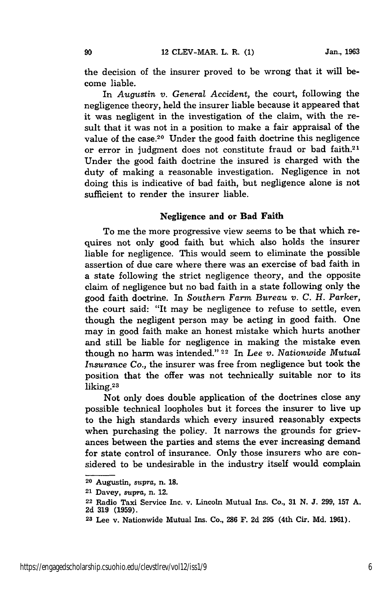the decision of the insurer proved to be wrong that it will become liable.

In *Augustin v. General Accident,* the court, following the negligence theory, held the insurer liable because it appeared that it was negligent in the investigation of the claim, with the result that it was not in a position to make a fair appraisal of the value of the case.20 Under the good faith doctrine this negligence or error in judgment does not constitute fraud or bad faith.<sup>21</sup> Under the good faith doctrine the insured is charged with the duty of making a reasonable investigation. Negligence in not doing this is indicative of bad faith, but negligence alone is not sufficient to render the insurer liable.

#### Negligence and **or Bad Faith**

To me the more progressive view seems to be that which requires not only good faith but which also holds the insurer liable for negligence. This would seem to eliminate the possible assertion of due care where there was an exercise of bad faith in a state following the strict negligence theory, and the opposite claim of negligence but no bad faith in a state following only the good faith doctrine. In *Southern Farm Bureau v. C. H. Parker,* the court said: "It may be negligence to refuse to settle, even though the negligent person may be acting in good faith. One may in good faith make an honest mistake which hurts another and still be liable for negligence in making the mistake even though no harm was intended."<sup>22</sup> In *Lee v. Nationwide Mutual Insurance Co.,* the insurer was free from negligence but took the position that the offer was not technically suitable nor to its liking.23

Not only does double application of the doctrines close any possible technical loopholes but it forces the insurer to live up to the high standards which every insured reasonably expects when purchasing the policy. It narrows the grounds for grievances between the parties and stems the ever increasing demand for state control of insurance. Only those insurers who are considered to be undesirable in the industry itself would complain

**<sup>20</sup>**Augustin, *supra,* n. **18.**

**<sup>21</sup>**Davey, supra, n. 12.

**<sup>22</sup>**Radio Taxi Service Inc. v. Lincoln Mutual Ins. Co., **31 N. J. 299, 157 A. 2d 319 (1959).**

**<sup>23</sup>**Lee v. Nationwide Mutual Ins. Co., **286** F. **2d 295** (4th Cir. **Md. 1961).**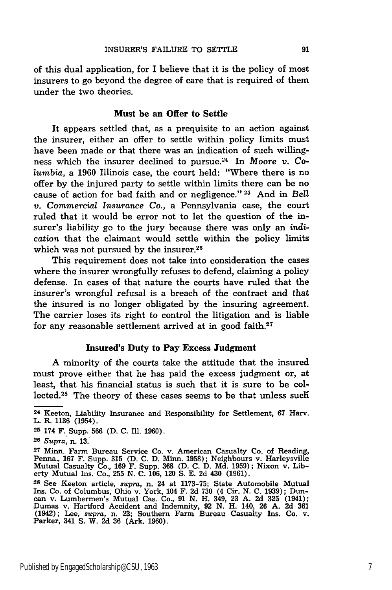of this dual application, for I believe that it is the policy of most insurers to go beyond the degree of care that is required of them under the two theories.

#### Must **be an Offer to Settle**

It appears settled that, as a prequisite to an action against the insurer, either an offer to settle within policy limits must have been made or that there was an indication of such willingness which the insurer declined to pursue.24 In *Moore v. Columbia,* a **1960** Illinois case, the court held: "Where there is no offer **by** the injured party to settle within limits there can be no cause of action for bad faith and or negligence." **25** And in *Bell v. Commercial Insurance Co.,* a Pennsylvania case, the court ruled that it would be error not to let the question of the insurer's liability go to the jury because there was only an *indication* that the claimant would settle within the policy limits which was not pursued by the insurer.<sup>26</sup>

This requirement does not take into consideration the cases where the insurer wrongfully refuses to defend, claiming a policy defense. In cases of that nature the courts have ruled that the insurer's wrongful refusal is a breach of the contract and that the insured is no longer obligated **by** the insuring agreement. The carrier loses its right to control the litigation and is liable for any reasonable settlement arrived at in good faith.27

#### **Insured's Duty to Pay Excess Judgment**

A minority of the courts take the attitude that the insured must prove either that he has paid the excess judgment or, at least, that his financial status is such that it is sure to be collected.<sup>28</sup> The theory of these cases seems to be that unless such

**<sup>25</sup>**174 F..Supp. **566 (D. C.** Ill. **1960).**

**<sup>24</sup>**Keeton, Liability Insurance and Responsibility for Settlement, **67** Harv. L. R. 1136<sup>'</sup> (1954)

**<sup>26</sup>***Supra,* n. **13.**

**<sup>27</sup>** Minn. Farm Bureau Service Co. v. American Casualty Co. of Reading, Penna., **167** F. Supp. **315 (D. C. D.** Minn. **1958);** Neighbours v. Harleysville Mutual Casualty Co., **169** F. Supp. **368 (D. C. D. Md. 1959);** Nixon v. Liberty Mutual Ins. Co., **255 N. C. 106,** 120 **S. E. 2d** 430 **(1961).**

**<sup>28</sup>**See Keeton article, *supra,* n. 24 at **1173-75;** State Automobile Mutual Ins. Co. of Columbus, Ohio v. York, 104 F. 2d 730 (4 Cir. N. C. 1939); Dun-<br>can v. Lumbermen's Mutual Cas. Co., 91 N. H. 349, 23 A. 2d 325 (1941);<br>Dumas v. Hartford Accident and Indemnity, 92 N. H. 140, 26 A. 2d 361 (1942); Lee, *supra,* **n. 23;** Southern Farm Bureau Casualty Ins. Co. v. Parker, 341 **S.** W. **2d 36** (Ark. **1960).**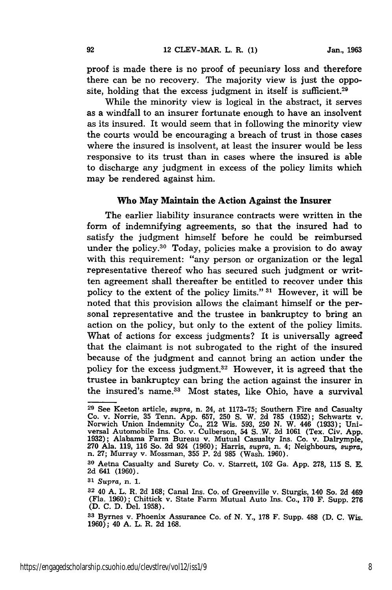proof is made there is no proof of pecuniary loss and therefore there can be no recovery. The majority view is just the opposite, holding that the excess judgment in itself is sufficient.<sup>29</sup>

While the minority view is logical in the abstract, it serves as a windfall to an insurer fortunate enough to have an insolvent as its insured. It would seem that in following the minority view the courts would be encouraging a breach of trust in those cases where the insured is insolvent, at least the insurer would be less responsive to its trust than in cases where the insured is able to discharge any judgment in excess of the policy limits which may be rendered against him.

#### **Who** May Maintain the Action Against the Insurer

The earlier liability insurance contracts were written in the form of indemnifying agreements, so that the insured had to satisfy the judgment himself before he could be reimbursed under the policy.<sup>30</sup> Today, policies make a provision to do away with this requirement: "any person or organization or the legal representative thereof who has secured such judgment or written agreement shall thereafter be entitled to recover under this policy to the extent of the policy limits." **31** However, it will be noted that this provision allows the claimant himself or the personal representative and the trustee in bankruptcy to bring an action on the policy, but only to the extent of the policy limits. What of actions for excess judgments? It is universally agreed that the claimant is not subrogated to the right of the insured because of the judgment and cannot bring an action under the policy for the excess judgment.32 However, it is agreed that the trustee in bankruptcy can bring the action against the insurer in the insured's name.<sup>33</sup> Most states, like Ohio, have a survival

**<sup>29</sup>**See Keeton article, *supra,* n. 24, at 1173-75; Southern Fire and Casualty Co. v. Norrie, 35 Tenn. App. 657, **250** S. W. 2d 785 (1952); Schwartz v. Norwich Union Indemnity Co., 212 Wis. 593, 250 N. W. 446 (1933); Universal Automobile Ins. Co. v. Culberson, 54 S. W. 2d 1061 (Tex. Civ. App. 1932); Alabama Farm Bureau v. Mutual Casualty Ins. Co. v. Dalrymple, 270 Ala. 119, 116 So. 2d 924 (1960); Harris, supra, n. 4; Neighbours, supra, n.

**<sup>30</sup>**Aetna Casualty and Surety Co. v. Starrett, 102 Ga. App. 278, **115** S. **E.** 2d 641 (1960).

**<sup>31</sup>***Supra,* n. 1.

**<sup>32</sup>** 40 A. L. R. 2d **168;** Canal Ins. Co. of Greenville v. Sturgis, 140 So. 2d 469 (Fla. 1960); Chittick v. State Farm Mutual Auto Ins. Co., **170** F. Supp. 276 (D. **C.** D. Del. 1958).

**<sup>33</sup>**Byrnes v. Phoenix Assurance Co. of **N.** Y., **178** F. Supp. **488** (D. **C.** Wis. 1960); 40 A. L. R. 2d 168.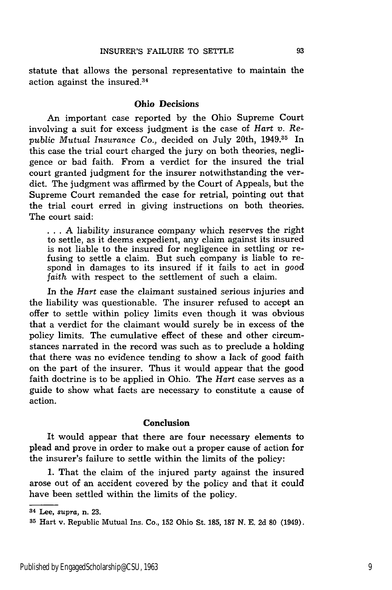statute that allows the personal representative to maintain the action against the insured.<sup>34</sup>

#### Ohio Decisions

An important case reported by the Ohio Supreme Court involving a suit for excess judgment is the case of *Hart v. Republic Mutual Insurance Co.,* decided on July 20th, 1949.35 In this case the trial court charged the jury on both theories, negligence or bad faith. From a verdict for the insured the trial court granted judgment for the insurer notwithstanding the verdict. The judgment was affirmed by the Court of Appeals, but the Supreme Court remanded the case for retrial, pointing out that the trial court erred in giving instructions on both theories. The court said:

**...** A liability insurance company which reserves the right to settle, as it deems expedient, any claim against its insured is not liable to the insured for negligence in settling or refusing to settle a claim. But such company is liable to respond in damages to its insured if it fails to act in good *faith* with respect to the settlement of such a claim.

In the *Hart* case the claimant sustained serious injuries and the liability was questionable. The insurer refused to accept an offer to settle within policy limits even though it was obvious that a verdict for the claimant would surely be in excess of the policy limits. The cumulative effect of these and other circumstances narrated in the record was such as to preclude a holding that there was no evidence tending to show a lack of good faith on the part of the insurer. Thus it would appear that the good faith doctrine is to be applied in Ohio. The *Hart* case serves as a guide to show what facts are necessary to constitute a cause of action.

#### Conclusion

It would appear that there are four necessary elements to plead and prove in order to make out a proper cause of action for the insurer's failure to settle within the limits of the policy:

1. That the claim of the injured party against the insured arose out of an accident covered by the policy and that it could have been settled within the limits of the policy.

**<sup>34</sup>**Lee, *supra,* n. **23.**

**<sup>35</sup>**Hart v. Republic Mutual Ins. Co., 152 Ohio St. 185, 187 N. E. 2d 80 (1949).